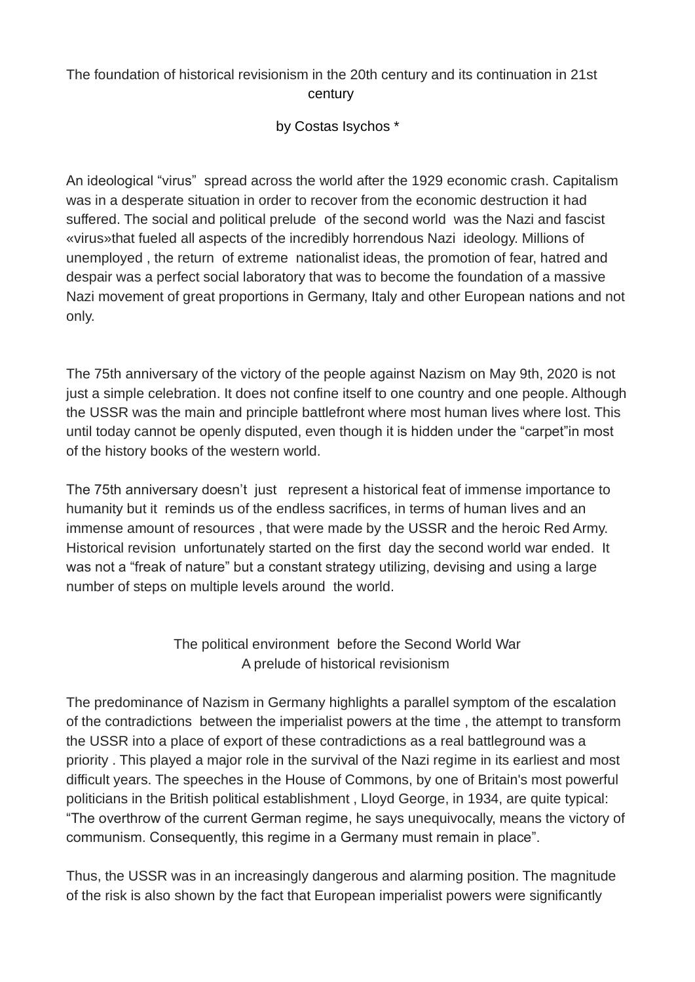## The foundation of historical revisionism in the 20th century and its continuation in 21st century

by Costas Isychos \*

An ideological "virus" spread across the world after the 1929 economic crash. Capitalism was in a desperate situation in order to recover from the economic destruction it had suffered. The social and political prelude of the second world was the Nazi and fascist «virus»that fueled all aspects of the incredibly horrendous Nazi ideology. Millions of unemployed , the return of extreme nationalist ideas, the promotion of fear, hatred and despair was a perfect social laboratory that was to become the foundation of a massive Nazi movement of great proportions in Germany, Italy and other European nations and not only.

The 75th anniversary of the victory of the people against Nazism on May 9th, 2020 is not just a simple celebration. It does not confine itself to one country and one people. Although the USSR was the main and principle battlefront where most human lives where lost. This until today cannot be openly disputed, even though it is hidden under the "carpet"in most of the history books of the western world.

The 75th anniversary doesn't just represent a historical feat of immense importance to humanity but it reminds us of the endless sacrifices, in terms of human lives and an immense amount of resources , that were made by the USSR and the heroic Red Army. Historical revision unfortunately started on the first day the second world war ended. It was not a "freak of nature" but a constant strategy utilizing, devising and using a large number of steps on multiple levels around the world.

> The political environment before the Second World War A prelude of historical revisionism

The predominance of Nazism in Germany highlights a parallel symptom of the escalation of the contradictions between the imperialist powers at the time , the attempt to transform the USSR into a place of export of these contradictions as a real battleground was a priority . This played a major role in the survival of the Nazi regime in its earliest and most difficult years. The speeches in the House of Commons, by one of Britain's most powerful politicians in the British political establishment , Lloyd George, in 1934, are quite typical: "The overthrow of the current German regime, he says unequivocally, means the victory of communism. Consequently, this regime in a Germany must remain in place".

Thus, the USSR was in an increasingly dangerous and alarming position. The magnitude of the risk is also shown by the fact that European imperialist powers were significantly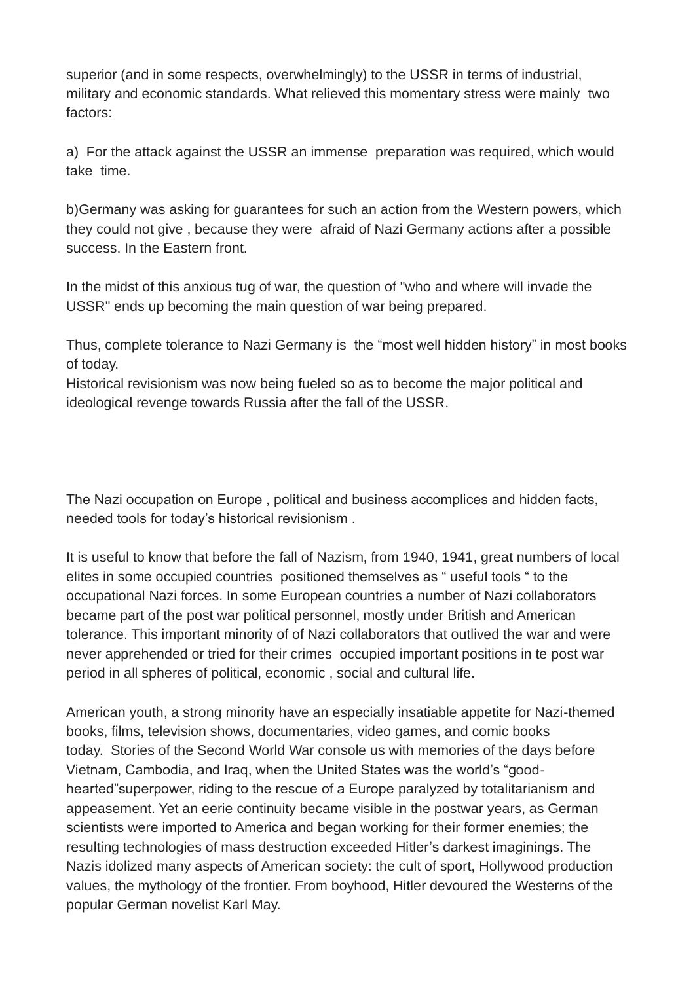superior (and in some respects, overwhelmingly) to the USSR in terms of industrial, military and economic standards. What relieved this momentary stress were mainly two factors:

a) For the attack against the USSR an immense preparation was required, which would take time.

b)Germany was asking for guarantees for such an action from the Western powers, which they could not give , because they were afraid of Nazi Germany actions after a possible success. In the Eastern front.

In the midst of this anxious tug of war, the question of "who and where will invade the USSR" ends up becoming the main question of war being prepared.

Thus, complete tolerance to Nazi Germany is the "most well hidden history" in most books of today.

Historical revisionism was now being fueled so as to become the major political and ideological revenge towards Russia after the fall of the USSR.

Τhe Nazi occupation on Europe , political and business accomplices and hidden facts, needed tools for today's historical revisionism .

It is useful to know that before the fall of Nazism, from 1940, 1941, great numbers of local elites in some occupied countries positioned themselves as " useful tools " to the occupational Nazi forces. In some European countries a number of Nazi collaborators became part of the post war political personnel, mostly under British and American tolerance. This important minority of of Nazi collaborators that outlived the war and were never apprehended or tried for their crimes occupied important positions in te post war period in all spheres of political, economic , social and cultural life.

American youth, a strong minority have an especially insatiable appetite for Nazi-themed books, films, television shows, documentaries, video games, and comic books today. Stories of the Second World War console us with memories of the days before Vietnam, Cambodia, and Iraq, when the United States was the world's "goodhearted"superpower, riding to the rescue of a Europe paralyzed by totalitarianism and appeasement. Yet an eerie continuity became visible in the postwar years, as German scientists were imported to America and began working for their former enemies; the resulting technologies of mass destruction exceeded Hitler's darkest imaginings. The Nazis idolized many aspects of American society: the cult of sport, Hollywood production values, the mythology of the frontier. From boyhood, Hitler devoured the Westerns of the popular German novelist Karl May.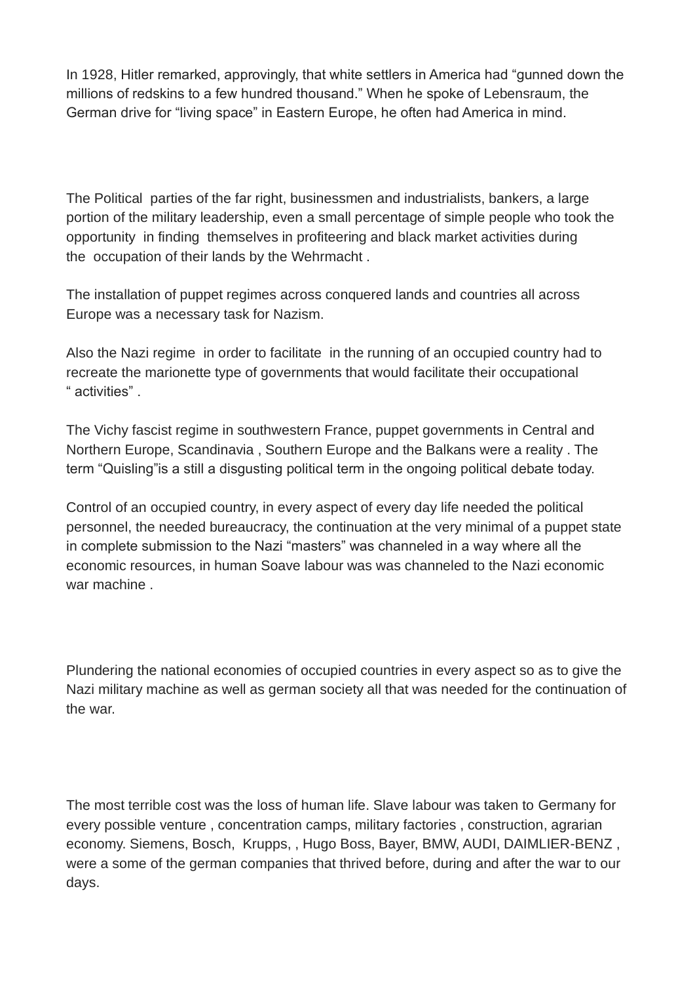In 1928, Hitler remarked, approvingly, that white settlers in America had "gunned down the millions of redskins to a few hundred thousand." When he spoke of Lebensraum, the German drive for "living space" in Eastern Europe, he often had America in mind.

The Political parties of the far right, businessmen and industrialists, bankers, a large portion of the military leadership, even a small percentage of simple people who took the opportunity in finding themselves in profiteering and black market activities during the occupation of their lands by the Wehrmacht .

The installation of puppet regimes across conquered lands and countries all across Europe was a necessary task for Nazism.

Also the Nazi regime in order to facilitate in the running of an occupied country had to recreate the marionette type of governments that would facilitate their occupational " activities" .

The Vichy fascist regime in southwestern France, puppet governments in Central and Northern Europe, Scandinavia , Southern Europe and the Balkans were a reality . The term "Quisling"is a still a disgusting political term in the ongoing political debate today.

Control of an occupied country, in every aspect of every day life needed the political personnel, the needed bureaucracy, the continuation at the very minimal of a puppet state in complete submission to the Nazi "masters" was channeled in a way where all the economic resources, in human Soave labour was was channeled to the Nazi economic war machine .

Plundering the national economies of occupied countries in every aspect so as to give the Nazi military machine as well as german society all that was needed for the continuation of the war.

The most terrible cost was the loss of human life. Slave labour was taken to Germany for every possible venture , concentration camps, military factories , construction, agrarian economy. Siemens, Bosch, Krupps, , Hugo Boss, Bayer, BMW, AUDI, DAIMLIER-BENZ , were a some of the german companies that thrived before, during and after the war to our days.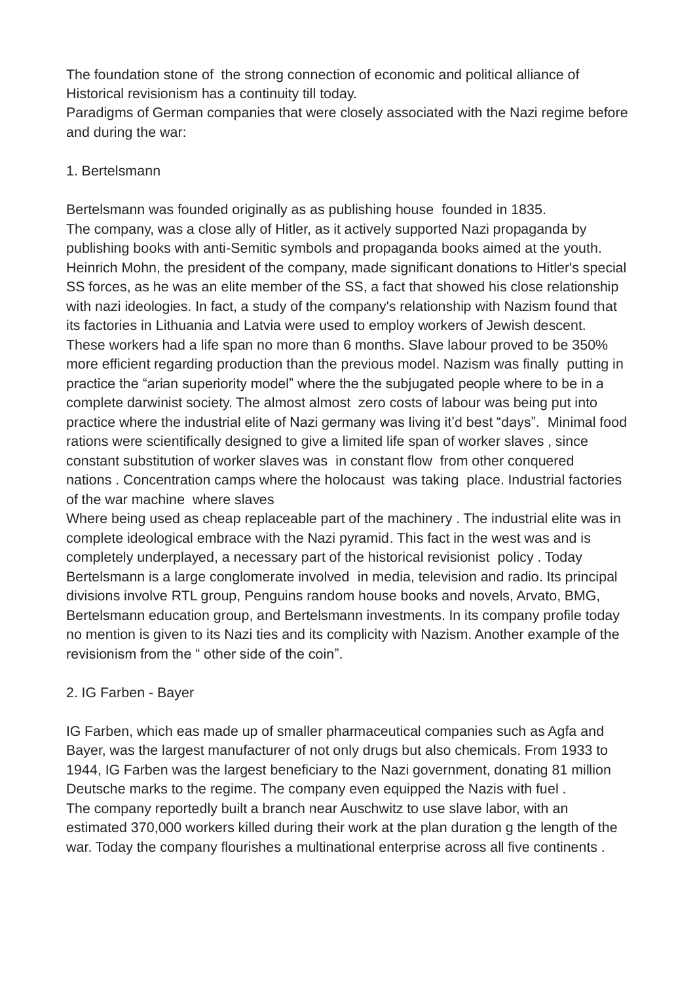The foundation stone of the strong connection of economic and political alliance of Historical revisionism has a continuity till today.

Paradigms of German companies that were closely associated with the Nazi regime before and during the war:

## 1. Bertelsmann

Bertelsmann was founded originally as as publishing house founded in 1835. The company, was a close ally of Hitler, as it actively supported Nazi propaganda by publishing books with anti-Semitic symbols and propaganda books aimed at the youth. Heinrich Mohn, the president of the company, made significant donations to Hitler's special SS forces, as he was an elite member of the SS, a fact that showed his close relationship with nazi ideologies. In fact, a study of the company's relationship with Nazism found that its factories in Lithuania and Latvia were used to employ workers of Jewish descent. These workers had a life span no more than 6 months. Slave labour proved to be 350% more efficient regarding production than the previous model. Nazism was finally putting in practice the "arian superiority model" where the the subjugated people where to be in a complete darwinist society. The almost almost zero costs of labour was being put into practice where the industrial elite of Nazi germany was living it'd best "days". Minimal food rations were scientifically designed to give a limited life span of worker slaves , since constant substitution of worker slaves was in constant flow from other conquered nations . Concentration camps where the holocaust was taking place. Industrial factories of the war machine where slaves

Where being used as cheap replaceable part of the machinery . The industrial elite was in complete ideological embrace with the Nazi pyramid. This fact in the west was and is completely underplayed, a necessary part of the historical revisionist policy . Today Bertelsmann is a large conglomerate involved in media, television and radio. Its principal divisions involve RTL group, Penguins random house books and novels, Arvato, BMG, Bertelsmann education group, and Bertelsmann investments. In its company profile today no mention is given to its Nazi ties and its complicity with Nazism. Another example of the revisionism from the " other side of the coin".

# 2. IG Farben - Bayer

IG Farben, which eas made up of smaller pharmaceutical companies such as Agfa and Bayer, was the largest manufacturer of not only drugs but also chemicals. From 1933 to 1944, IG Farben was the largest beneficiary to the Nazi government, donating 81 million Deutsche marks to the regime. The company even equipped the Nazis with fuel . The company reportedly built a branch near Auschwitz to use slave labor, with an estimated 370,000 workers killed during their work at the plan duration g the length of the war. Today the company flourishes a multinational enterprise across all five continents .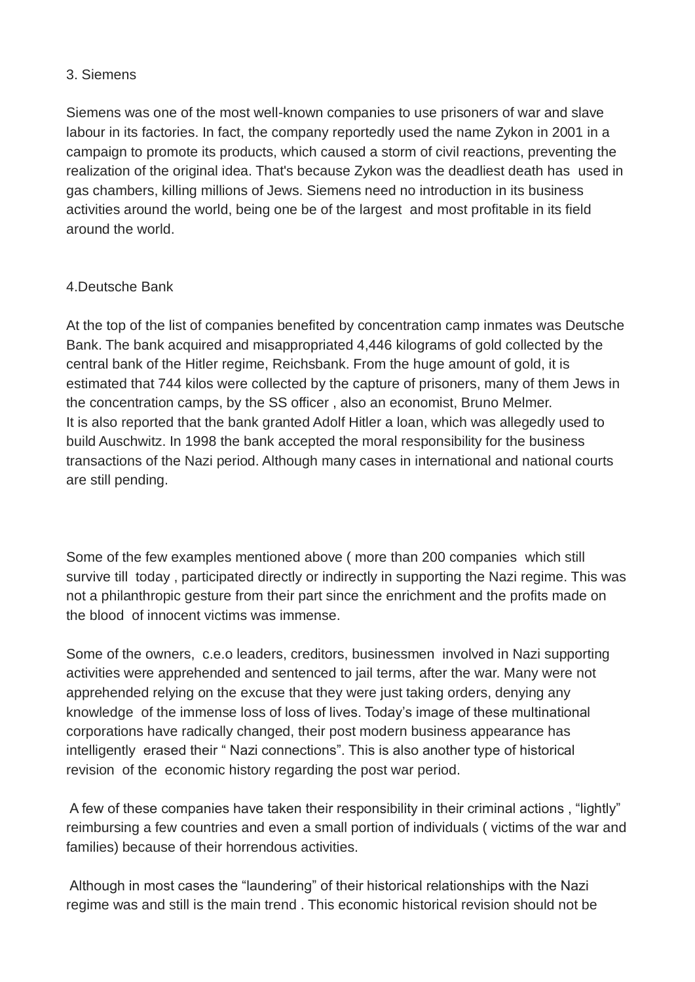#### 3. Siemens

Siemens was one of the most well-known companies to use prisoners of war and slave labour in its factories. In fact, the company reportedly used the name Zykon in 2001 in a campaign to promote its products, which caused a storm of civil reactions, preventing the realization of the original idea. That's because Zykon was the deadliest death has used in gas chambers, killing millions of Jews. Siemens need no introduction in its business activities around the world, being one be of the largest and most profitable in its field around the world.

#### 4.Deutsche Bank

At the top of the list of companies benefited by concentration camp inmates was Deutsche Bank. The bank acquired and misappropriated 4,446 kilograms of gold collected by the central bank of the Hitler regime, Reichsbank. From the huge amount of gold, it is estimated that 744 kilos were collected by the capture of prisoners, many of them Jews in the concentration camps, by the SS officer , also an economist, Bruno Melmer. It is also reported that the bank granted Adolf Hitler a loan, which was allegedly used to build Auschwitz. In 1998 the bank accepted the moral responsibility for the business transactions of the Nazi period. Although many cases in international and national courts are still pending.

Some of the few examples mentioned above ( more than 200 companies which still survive till today , participated directly or indirectly in supporting the Nazi regime. This was not a philanthropic gesture from their part since the enrichment and the profits made on the blood of innocent victims was immense.

Some of the owners, c.e.o leaders, creditors, businessmen involved in Nazi supporting activities were apprehended and sentenced to jail terms, after the war. Many were not apprehended relying on the excuse that they were just taking orders, denying any knowledge of the immense loss of loss of lives. Today's image of these multinational corporations have radically changed, their post modern business appearance has intelligently erased their " Nazi connections". This is also another type of historical revision of the economic history regarding the post war period.

A few of these companies have taken their responsibility in their criminal actions , "lightly" reimbursing a few countries and even a small portion of individuals ( victims of the war and families) because of their horrendous activities.

Although in most cases the "laundering" of their historical relationships with the Nazi regime was and still is the main trend . This economic historical revision should not be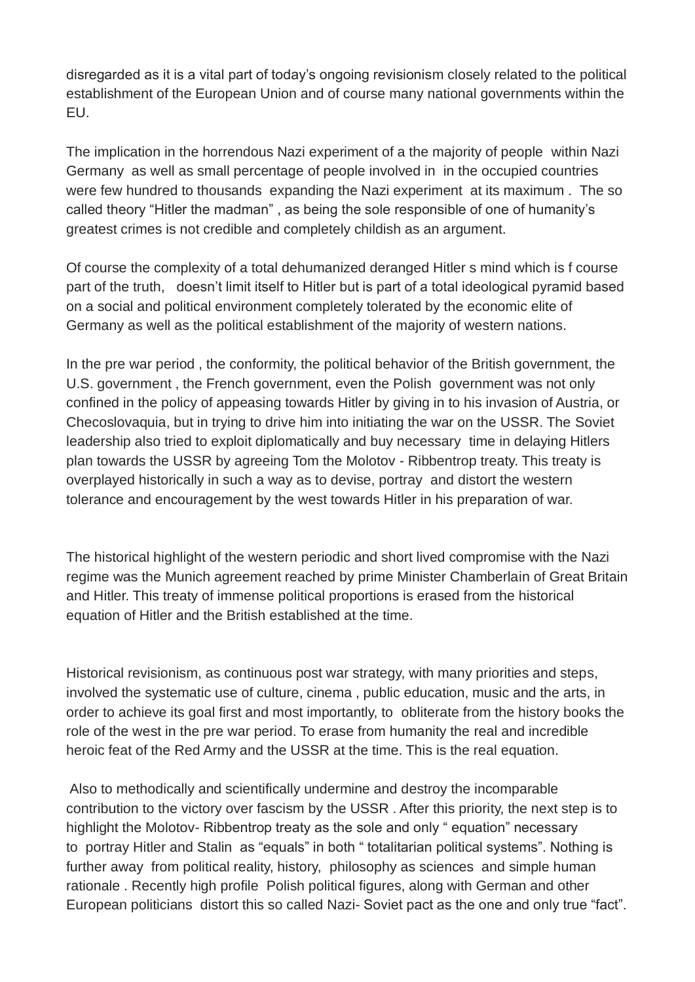disregarded as it is a vital part of today's ongoing revisionism closely related to the political establishment of the European Union and of course many national governments within the EU.

The implication in the horrendous Nazi experiment of a the majority of people within Nazi Germany as well as small percentage of people involved in in the occupied countries were few hundred to thousands expanding the Nazi experiment at its maximum . The so called theory "Hitler the madman" , as being the sole responsible of one of humanity's greatest crimes is not credible and completely childish as an argument.

Of course the complexity of a total dehumanized deranged Hitler s mind which is f course part of the truth, doesn't limit itself to Hitler but is part of a total ideological pyramid based on a social and political environment completely tolerated by the economic elite of Germany as well as the political establishment of the majority of western nations.

In the pre war period , the conformity, the political behavior of the British government, the U.S. government , the French government, even the Polish government was not only confined in the policy of appeasing towards Hitler by giving in to his invasion of Austria, or Checoslovaquia, but in trying to drive him into initiating the war on the USSR. The Soviet leadership also tried to exploit diplomatically and buy necessary time in delaying Hitlers plan towards the USSR by agreeing Tom the Molotov - Ribbentrop treaty. This treaty is overplayed historically in such a way as to devise, portray and distort the western tolerance and encouragement by the west towards Hitler in his preparation of war.

The historical highlight of the western periodic and short lived compromise with the Nazi regime was the Munich agreement reached by prime Minister Chamberlain of Great Britain and Hitler. This treaty of immense political proportions is erased from the historical equation of Hitler and the British established at the time.

Historical revisionism, as continuous post war strategy, with many priorities and steps, involved the systematic use of culture, cinema , public education, music and the arts, in order to achieve its goal first and most importantly, to obliterate from the history books the role of the west in the pre war period. To erase from humanity the real and incredible heroic feat of the Red Army and the USSR at the time. This is the real equation.

Also to methodically and scientifically undermine and destroy the incomparable contribution to the victory over fascism by the USSR . After this priority, the next step is to highlight the Molotov- Ribbentrop treaty as the sole and only " equation" necessary to portray Hitler and Stalin as "equals" in both " totalitarian political systems". Nothing is further away from political reality, history, philosophy as sciences and simple human rationale . Recently high profile Polish political figures, along with German and other European politicians distort this so called Nazi- Soviet pact as the one and only true "fact".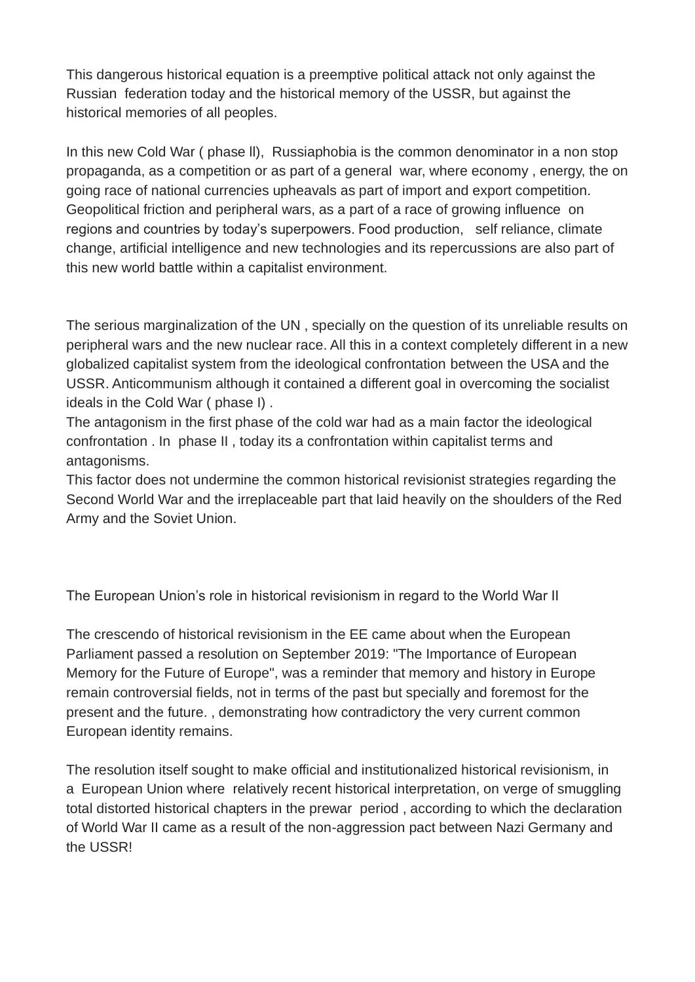This dangerous historical equation is a preemptive political attack not only against the Russian federation today and the historical memory of the USSR, but against the historical memories of all peoples.

In this new Cold War ( phase ll), Russiaphobia is the common denominator in a non stop propaganda, as a competition or as part of a general war, where economy , energy, the on going race of national currencies upheavals as part of import and export competition. Geopolitical friction and peripheral wars, as a part of a race of growing influence on regions and countries by today's superpowers. Food production, self reliance, climate change, artificial intelligence and new technologies and its repercussions are also part of this new world battle within a capitalist environment.

The serious marginalization of the UN , specially on the question of its unreliable results on peripheral wars and the new nuclear race. All this in a context completely different in a new globalized capitalist system from the ideological confrontation between the USA and the USSR. Anticommunism although it contained a different goal in overcoming the socialist ideals in the Cold War ( phase I) .

The antagonism in the first phase of the cold war had as a main factor the ideological confrontation . In phase II , today its a confrontation within capitalist terms and antagonisms.

This factor does not undermine the common historical revisionist strategies regarding the Second World War and the irreplaceable part that laid heavily on the shoulders of the Red Army and the Soviet Union.

The European Union's role in historical revisionism in regard to the World War II

The crescendo of historical revisionism in the EE came about when the European Parliament passed a resolution on September 2019: "The Importance of European Memory for the Future of Europe", was a reminder that memory and history in Europe remain controversial fields, not in terms of the past but specially and foremost for the present and the future. , demonstrating how contradictory the very current common European identity remains.

The resolution itself sought to make official and institutionalized historical revisionism, in a European Union where relatively recent historical interpretation, on verge of smuggling total distorted historical chapters in the prewar period , according to which the declaration of World War II came as a result of the non-aggression pact between Nazi Germany and the USSR!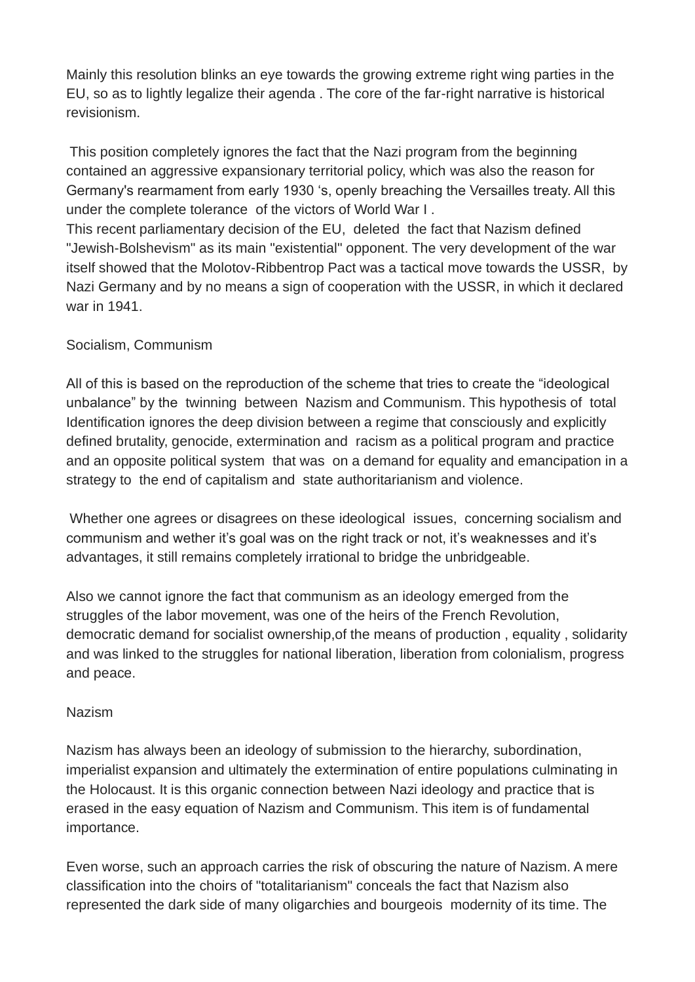Mainly this resolution blinks an eye towards the growing extreme right wing parties in the EU, so as to lightly legalize their agenda . The core of the far-right narrative is historical revisionism.

This position completely ignores the fact that the Nazi program from the beginning contained an aggressive expansionary territorial policy, which was also the reason for Germany's rearmament from early 1930 's, openly breaching the Versailles treaty. All this under the complete tolerance of the victors of World War I .

This recent parliamentary decision of the EU, deleted the fact that Nazism defined "Jewish-Bolshevism" as its main "existential" opponent. The very development of the war itself showed that the Molotov-Ribbentrop Pact was a tactical move towards the USSR, by Nazi Germany and by no means a sign of cooperation with the USSR, in which it declared war in 1941.

# Socialism, Communism

All of this is based on the reproduction of the scheme that tries to create the "ideological unbalance" by the twinning between Nazism and Communism. This hypothesis of total Identification ignores the deep division between a regime that consciously and explicitly defined brutality, genocide, extermination and racism as a political program and practice and an opposite political system that was on a demand for equality and emancipation in a strategy to the end of capitalism and state authoritarianism and violence.

Whether one agrees or disagrees on these ideological issues, concerning socialism and communism and wether it's goal was on the right track or not, it's weaknesses and it's advantages, it still remains completely irrational to bridge the unbridgeable.

Also we cannot ignore the fact that communism as an ideology emerged from the struggles of the labor movement, was one of the heirs of the French Revolution, democratic demand for socialist ownership,of the means of production , equality , solidarity and was linked to the struggles for national liberation, liberation from colonialism, progress and peace.

### Nazism

Nazism has always been an ideology of submission to the hierarchy, subordination, imperialist expansion and ultimately the extermination of entire populations culminating in the Holocaust. It is this organic connection between Nazi ideology and practice that is erased in the easy equation of Nazism and Communism. This item is of fundamental importance.

Even worse, such an approach carries the risk of obscuring the nature of Nazism. A mere classification into the choirs of "totalitarianism" conceals the fact that Nazism also represented the dark side of many oligarchies and bourgeois modernity of its time. The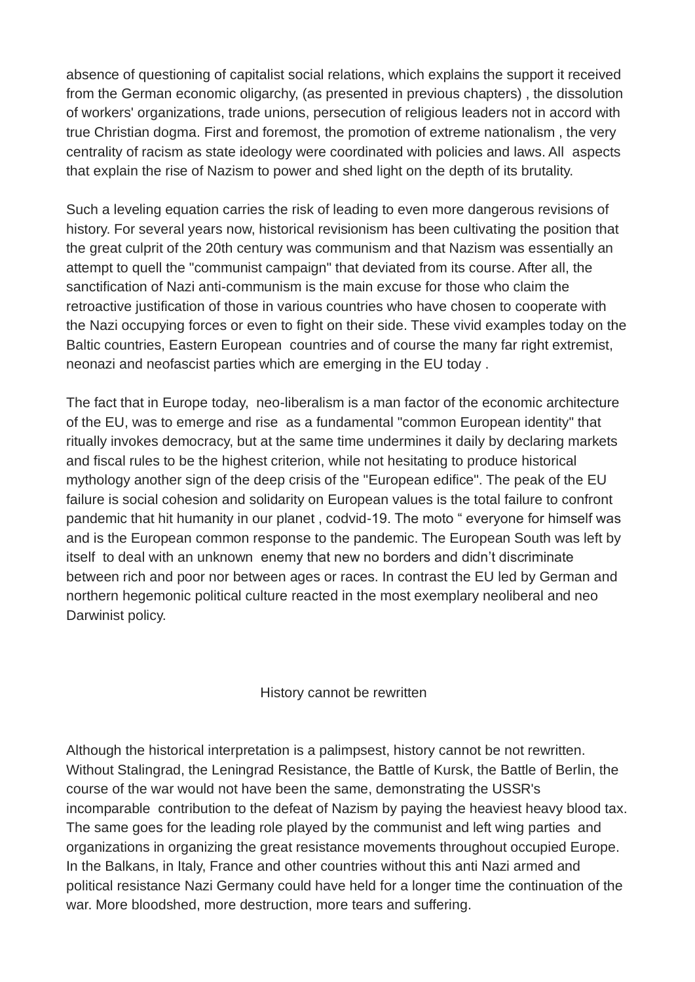absence of questioning of capitalist social relations, which explains the support it received from the German economic oligarchy, (as presented in previous chapters) , the dissolution of workers' organizations, trade unions, persecution of religious leaders not in accord with true Christian dogma. First and foremost, the promotion of extreme nationalism , the very centrality of racism as state ideology were coordinated with policies and laws. All aspects that explain the rise of Nazism to power and shed light on the depth of its brutality.

Such a leveling equation carries the risk of leading to even more dangerous revisions of history. For several years now, historical revisionism has been cultivating the position that the great culprit of the 20th century was communism and that Nazism was essentially an attempt to quell the "communist campaign" that deviated from its course. After all, the sanctification of Nazi anti-communism is the main excuse for those who claim the retroactive justification of those in various countries who have chosen to cooperate with the Nazi occupying forces or even to fight on their side. These vivid examples today on the Baltic countries, Eastern European countries and of course the many far right extremist, neonazi and neofascist parties which are emerging in the EU today .

The fact that in Europe today, neo-liberalism is a man factor of the economic architecture of the EU, was to emerge and rise as a fundamental "common European identity" that ritually invokes democracy, but at the same time undermines it daily by declaring markets and fiscal rules to be the highest criterion, while not hesitating to produce historical mythology another sign of the deep crisis of the "European edifice". The peak of the EU failure is social cohesion and solidarity on European values is the total failure to confront pandemic that hit humanity in our planet , codvid-19. The moto " everyone for himself was and is the European common response to the pandemic. The European South was left by itself to deal with an unknown enemy that new no borders and didn't discriminate between rich and poor nor between ages or races. In contrast the EU led by German and northern hegemonic political culture reacted in the most exemplary neoliberal and neo Darwinist policy.

History cannot be rewritten

Although the historical interpretation is a palimpsest, history cannot be not rewritten. Without Stalingrad, the Leningrad Resistance, the Battle of Kursk, the Battle of Berlin, the course of the war would not have been the same, demonstrating the USSR's incomparable contribution to the defeat of Nazism by paying the heaviest heavy blood tax. The same goes for the leading role played by the communist and left wing parties and organizations in organizing the great resistance movements throughout occupied Europe. In the Balkans, in Italy, France and other countries without this anti Nazi armed and political resistance Nazi Germany could have held for a longer time the continuation of the war. More bloodshed, more destruction, more tears and suffering.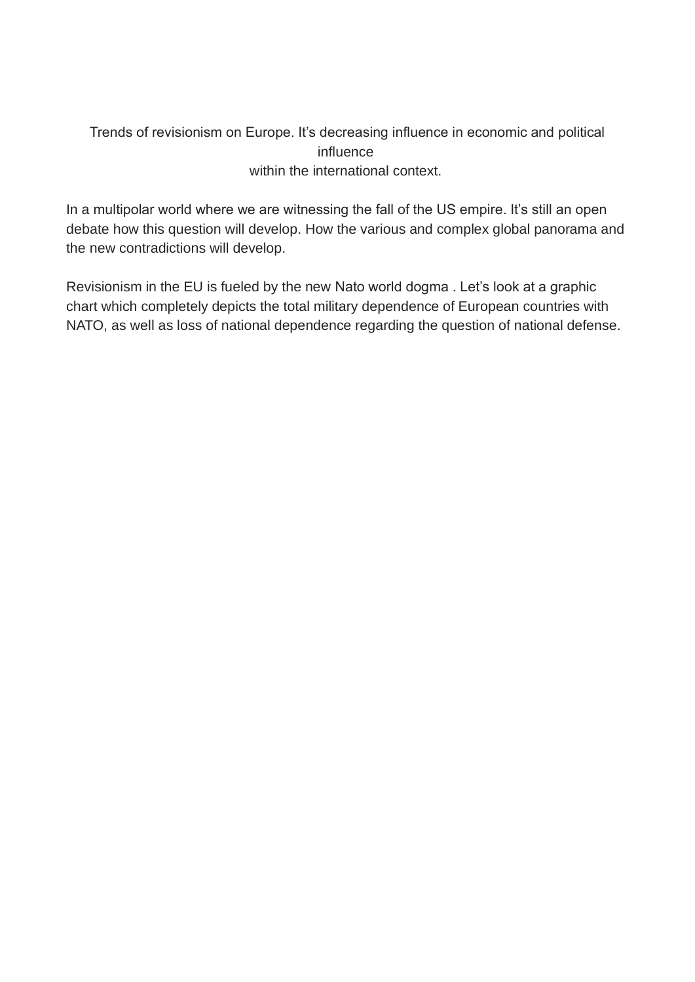## Trends of revisionism on Europe. It's decreasing influence in economic and political influence within the international context.

In a multipolar world where we are witnessing the fall of the US empire. It's still an open debate how this question will develop. How the various and complex global panorama and the new contradictions will develop.

Revisionism in the EU is fueled by the new Nato world dogma . Let's look at a graphic chart which completely depicts the total military dependence of European countries with NATO, as well as loss of national dependence regarding the question of national defense.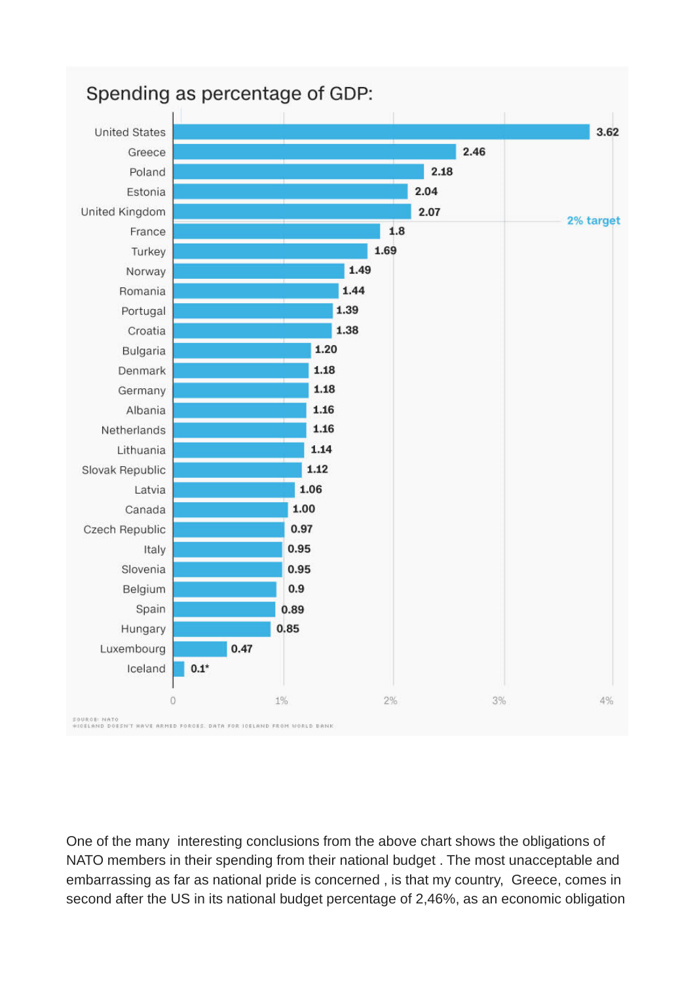

Spending as percentage of GDP:

One of the many interesting conclusions from the above chart shows the obligations of NATO members in their spending from their national budget . The most unacceptable and embarrassing as far as national pride is concerned , is that my country, Greece, comes in second after the US in its national budget percentage of 2,46%, as an economic obligation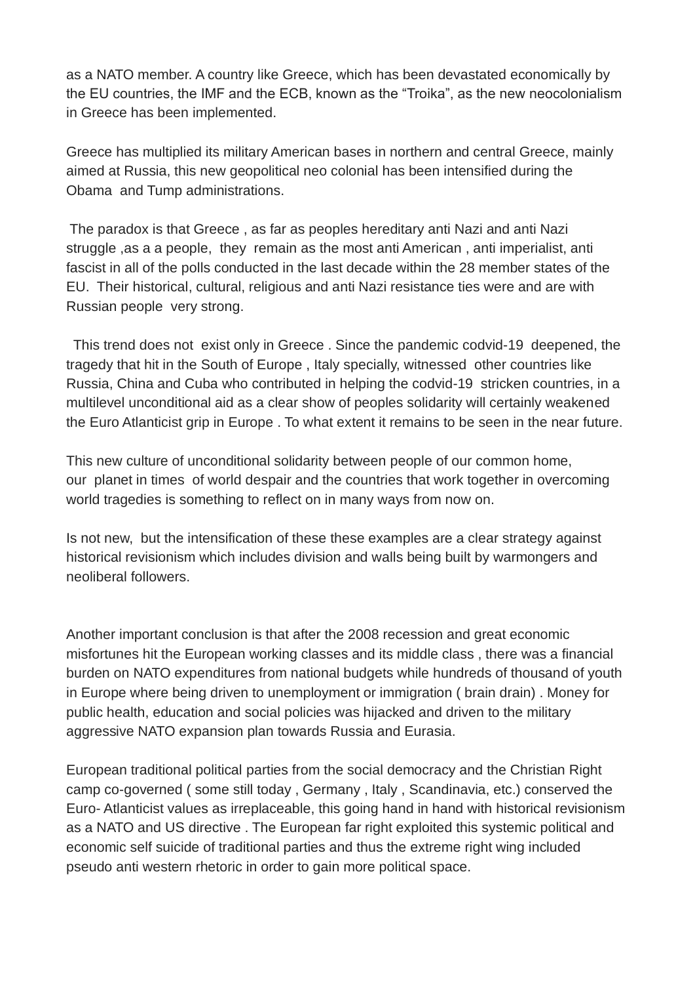as a NATO member. A country like Greece, which has been devastated economically by the EU countries, the IMF and the ECB, known as the "Troika", as the new neocolonialism in Greece has been implemented.

Greece has multiplied its military American bases in northern and central Greece, mainly aimed at Russia, this new geopolitical neo colonial has been intensified during the Obama and Tump administrations.

The paradox is that Greece , as far as peoples hereditary anti Nazi and anti Nazi struggle ,as a a people, they remain as the most anti American , anti imperialist, anti fascist in all of the polls conducted in the last decade within the 28 member states of the EU. Their historical, cultural, religious and anti Nazi resistance ties were and are with Russian people very strong.

This trend does not exist only in Greece . Since the pandemic codvid-19 deepened, the tragedy that hit in the South of Europe , Italy specially, witnessed other countries like Russia, China and Cuba who contributed in helping the codvid-19 stricken countries, in a multilevel unconditional aid as a clear show of peoples solidarity will certainly weakened the Euro Atlanticist grip in Europe . To what extent it remains to be seen in the near future.

This new culture of unconditional solidarity between people of our common home, our planet in times of world despair and the countries that work together in overcoming world tragedies is something to reflect on in many ways from now on.

Is not new, but the intensification of these these examples are a clear strategy against historical revisionism which includes division and walls being built by warmongers and neoliberal followers.

Another important conclusion is that after the 2008 recession and great economic misfortunes hit the European working classes and its middle class , there was a financial burden on NATO expenditures from national budgets while hundreds of thousand of youth in Europe where being driven to unemployment or immigration ( brain drain) . Money for public health, education and social policies was hijacked and driven to the military aggressive NATO expansion plan towards Russia and Eurasia.

European traditional political parties from the social democracy and the Christian Right camp co-governed ( some still today , Germany , Italy , Scandinavia, etc.) conserved the Euro- Atlanticist values as irreplaceable, this going hand in hand with historical revisionism as a NATO and US directive . The European far right exploited this systemic political and economic self suicide of traditional parties and thus the extreme right wing included pseudo anti western rhetoric in order to gain more political space.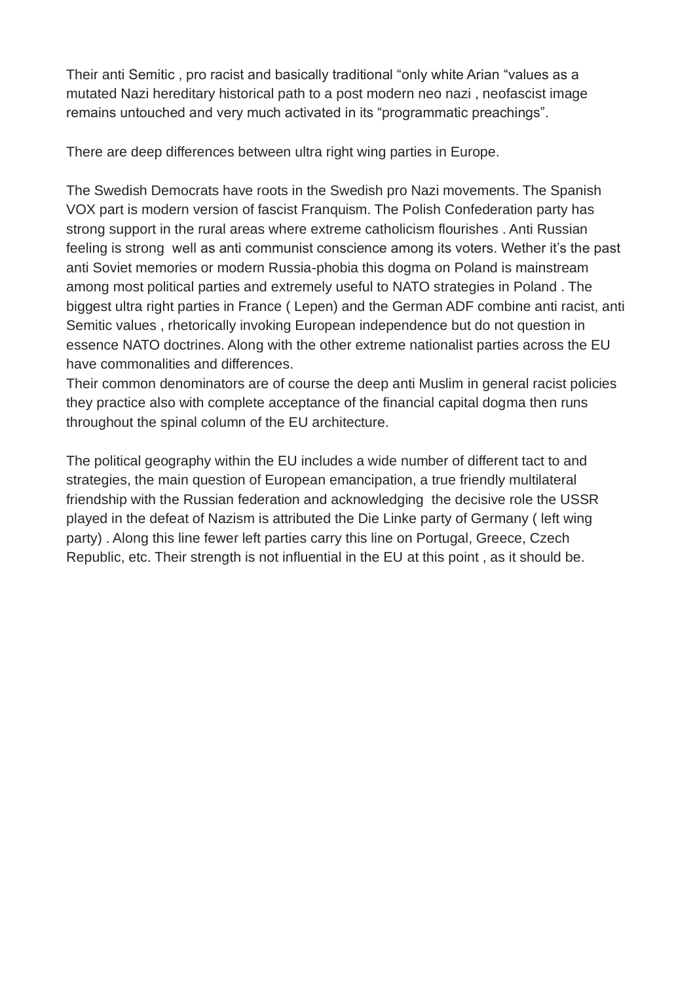Their anti Semitic , pro racist and basically traditional "only white Arian "values as a mutated Nazi hereditary historical path to a post modern neo nazi , neofascist image remains untouched and very much activated in its "programmatic preachings".

There are deep differences between ultra right wing parties in Europe.

The Swedish Democrats have roots in the Swedish pro Nazi movements. The Spanish VOX part is modern version of fascist Franquism. The Polish Confederation party has strong support in the rural areas where extreme catholicism flourishes . Anti Russian feeling is strong well as anti communist conscience among its voters. Wether it's the past anti Soviet memories or modern Russia-phobia this dogma on Poland is mainstream among most political parties and extremely useful to NATO strategies in Poland . The biggest ultra right parties in France ( Lepen) and the German ADF combine anti racist, anti Semitic values , rhetorically invoking European independence but do not question in essence NATO doctrines. Along with the other extreme nationalist parties across the EU have commonalities and differences.

Their common denominators are of course the deep anti Muslim in general racist policies they practice also with complete acceptance of the financial capital dogma then runs throughout the spinal column of the EU architecture.

The political geography within the EU includes a wide number of different tact to and strategies, the main question of European emancipation, a true friendly multilateral friendship with the Russian federation and acknowledging the decisive role the USSR played in the defeat of Nazism is attributed the Die Linke party of Germany ( left wing party) . Along this line fewer left parties carry this line on Portugal, Greece, Czech Republic, etc. Their strength is not influential in the EU at this point , as it should be.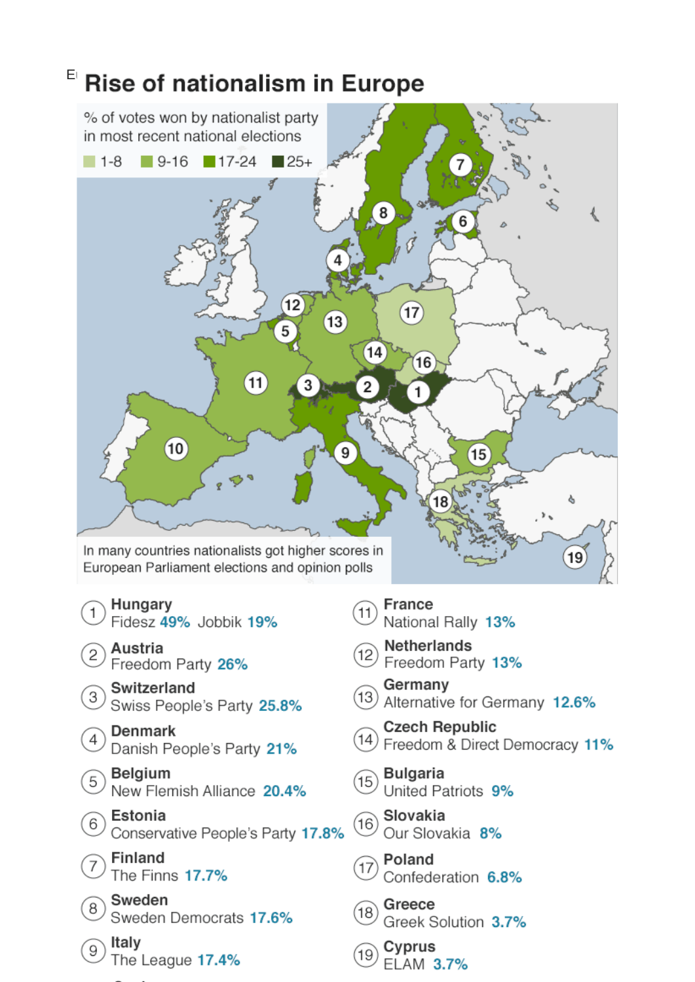

# E Rise of nationalism in Europe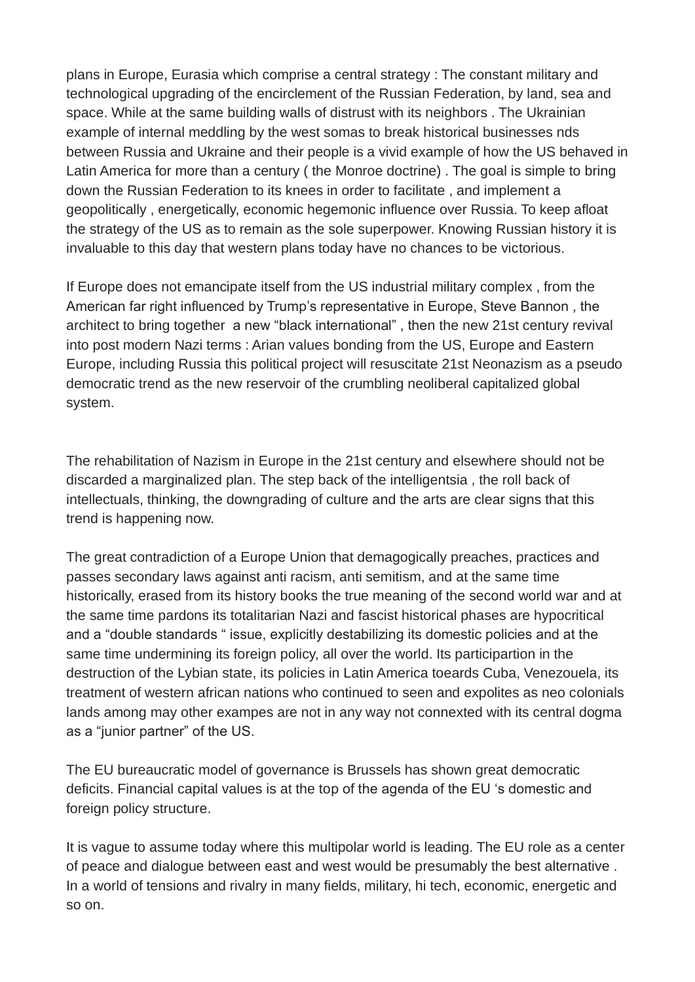plans in Europe, Eurasia which comprise a central strategy : The constant military and technological upgrading of the encirclement of the Russian Federation, by land, sea and space. While at the same building walls of distrust with its neighbors . The Ukrainian example of internal meddling by the west somas to break historical businesses nds between Russia and Ukraine and their people is a vivid example of how the US behaved in Latin America for more than a century ( the Monroe doctrine) . The goal is simple to bring down the Russian Federation to its knees in order to facilitate , and implement a geopolitically , energetically, economic hegemonic influence over Russia. To keep afloat the strategy of the US as to remain as the sole superpower. Knowing Russian history it is invaluable to this day that western plans today have no chances to be victorious.

If Europe does not emancipate itself from the US industrial military complex , from the American far right influenced by Trump's representative in Europe, Steve Bannon , the architect to bring together a new "black international" , then the new 21st century revival into post modern Nazi terms : Arian values bonding from the US, Europe and Eastern Europe, including Russia this political project will resuscitate 21st Neonazism as a pseudo democratic trend as the new reservoir of the crumbling neoliberal capitalized global system.

The rehabilitation of Nazism in Europe in the 21st century and elsewhere should not be discarded a marginalized plan. The step back of the intelligentsia , the roll back of intellectuals, thinking, the downgrading of culture and the arts are clear signs that this trend is happening now.

The great contradiction of a Europe Union that demagogically preaches, practices and passes secondary laws against anti racism, anti semitism, and at the same time historically, erased from its history books the true meaning of the second world war and at the same time pardons its totalitarian Nazi and fascist historical phases are hypocritical and a "double standards " issue, explicitly destabilizing its domestic policies and at the same time undermining its foreign policy, all over the world. Its participartion in the destruction of the Lybian state, its policies in Latin America toeards Cuba, Venezouela, its treatment of western african nations who continued to seen and expolites as neo colonials lands among may other exampes are not in any way not connexted with its central dogma as a "junior partner" of the US.

The EU bureaucratic model of governance is Brussels has shown great democratic deficits. Financial capital values is at the top of the agenda of the EU 's domestic and foreign policy structure.

It is vague to assume today where this multipolar world is leading. The EU role as a center of peace and dialogue between east and west would be presumably the best alternative . In a world of tensions and rivalry in many fields, military, hi tech, economic, energetic and so on.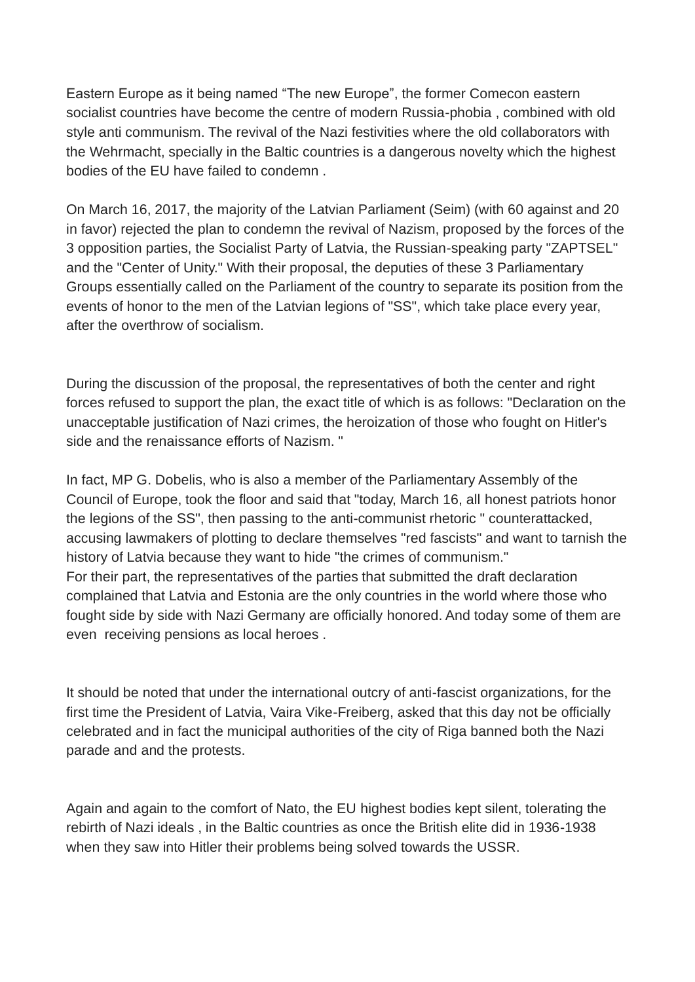Eastern Europe as it being named "The new Europe", the former Comecon eastern socialist countries have become the centre of modern Russia-phobia , combined with old style anti communism. The revival of the Nazi festivities where the old collaborators with the Wehrmacht, specially in the Baltic countries is a dangerous novelty which the highest bodies of the EU have failed to condemn .

On March 16, 2017, the majority of the Latvian Parliament (Seim) (with 60 against and 20 in favor) rejected the plan to condemn the revival of Nazism, proposed by the forces of the 3 opposition parties, the Socialist Party of Latvia, the Russian-speaking party "ZAPTSEL" and the "Center of Unity." With their proposal, the deputies of these 3 Parliamentary Groups essentially called on the Parliament of the country to separate its position from the events of honor to the men of the Latvian legions of "SS", which take place every year, after the overthrow of socialism.

During the discussion of the proposal, the representatives of both the center and right forces refused to support the plan, the exact title of which is as follows: "Declaration on the unacceptable justification of Nazi crimes, the heroization of those who fought on Hitler's side and the renaissance efforts of Nazism. "

In fact, MP G. Dobelis, who is also a member of the Parliamentary Assembly of the Council of Europe, took the floor and said that "today, March 16, all honest patriots honor the legions of the SS", then passing to the anti-communist rhetoric " counterattacked, accusing lawmakers of plotting to declare themselves "red fascists" and want to tarnish the history of Latvia because they want to hide "the crimes of communism." For their part, the representatives of the parties that submitted the draft declaration complained that Latvia and Estonia are the only countries in the world where those who fought side by side with Nazi Germany are officially honored. And today some of them are even receiving pensions as local heroes .

It should be noted that under the international outcry of anti-fascist organizations, for the first time the President of Latvia, Vaira Vike-Freiberg, asked that this day not be officially celebrated and in fact the municipal authorities of the city of Riga banned both the Nazi parade and and the protests.

Again and again to the comfort of Nato, the EU highest bodies kept silent, tolerating the rebirth of Nazi ideals , in the Baltic countries as once the British elite did in 1936-1938 when they saw into Hitler their problems being solved towards the USSR.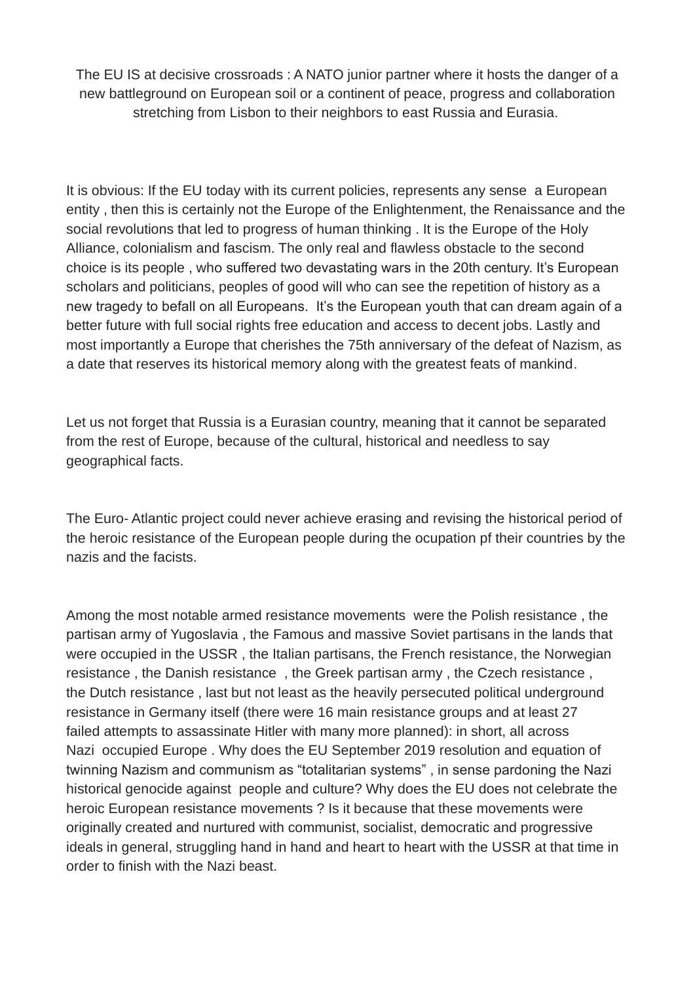The EU IS at decisive crossroads : A NATO junior partner where it hosts the danger of a new battleground on European soil or a continent of peace, progress and collaboration stretching from Lisbon to their neighbors to east Russia and Eurasia.

It is obvious: If the EU today with its current policies, represents any sense a European entity , then this is certainly not the Europe of the Enlightenment, the Renaissance and the social revolutions that led to progress of human thinking . It is the Europe of the Holy Alliance, colonialism and fascism. The only real and flawless obstacle to the second choice is its people , who suffered two devastating wars in the 20th century. It's European scholars and politicians, peoples of good will who can see the repetition of history as a new tragedy to befall on all Europeans. It's the European youth that can dream again of a better future with full social rights free education and access to decent jobs. Lastly and most importantly a Europe that cherishes the 75th anniversary of the defeat of Nazism, as a date that reserves its historical memory along with the greatest feats of mankind.

Let us not forget that Russia is a Eurasian country, meaning that it cannot be separated from the rest of Europe, because of the cultural, historical and needless to say geographical facts.

The Euro- Atlantic project could never achieve erasing and revising the historical period of the heroic resistance of the European people during the ocupation pf their countries by the nazis and the facists.

Among the most notable armed resistance movements were the Polish resistance , the partisan army of Yugoslavia , the Famous and massive Soviet partisans in the lands that were occupied in the USSR , the Italian partisans, the French resistance, the Norwegian resistance , the Danish resistance , the Greek partisan army , the Czech resistance , the Dutch resistance , last but not least as the heavily persecuted political underground resistance in Germany itself (there were 16 main resistance groups and at least 27 failed attempts to assassinate Hitler with many more planned): in short, all across Nazi occupied Europe . Why does the EU September 2019 resolution and equation of twinning Nazism and communism as "totalitarian systems" , in sense pardoning the Nazi historical genocide against people and culture? Why does the EU does not celebrate the heroic European resistance movements ? Is it because that these movements were originally created and nurtured with communist, socialist, democratic and progressive ideals in general, struggling hand in hand and heart to heart with the USSR at that time in order to finish with the Nazi beast.